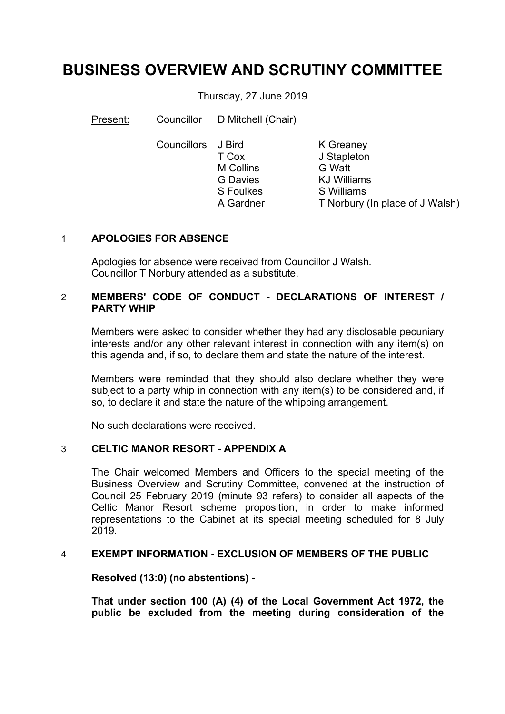# **BUSINESS OVERVIEW AND SCRUTINY COMMITTEE**

Thursday, 27 June 2019

Present: Councillor D Mitchell (Chair)

Councillors J Bird T Cox M Collins G Davies S Foulkes A Gardner

K Greaney J Stapleton G Watt KJ Williams S Williams T Norbury (In place of J Walsh)

# 1 **APOLOGIES FOR ABSENCE**

Apologies for absence were received from Councillor J Walsh. Councillor T Norbury attended as a substitute.

# 2 **MEMBERS' CODE OF CONDUCT - DECLARATIONS OF INTEREST / PARTY WHIP**

Members were asked to consider whether they had any disclosable pecuniary interests and/or any other relevant interest in connection with any item(s) on this agenda and, if so, to declare them and state the nature of the interest.

Members were reminded that they should also declare whether they were subject to a party whip in connection with any item(s) to be considered and, if so, to declare it and state the nature of the whipping arrangement.

No such declarations were received.

### 3 **CELTIC MANOR RESORT - APPENDIX A**

The Chair welcomed Members and Officers to the special meeting of the Business Overview and Scrutiny Committee, convened at the instruction of Council 25 February 2019 (minute 93 refers) to consider all aspects of the Celtic Manor Resort scheme proposition, in order to make informed representations to the Cabinet at its special meeting scheduled for 8 July 2019.

### 4 **EXEMPT INFORMATION - EXCLUSION OF MEMBERS OF THE PUBLIC**

**Resolved (13:0) (no abstentions) -**

**That under section 100 (A) (4) of the Local Government Act 1972, the public be excluded from the meeting during consideration of the**